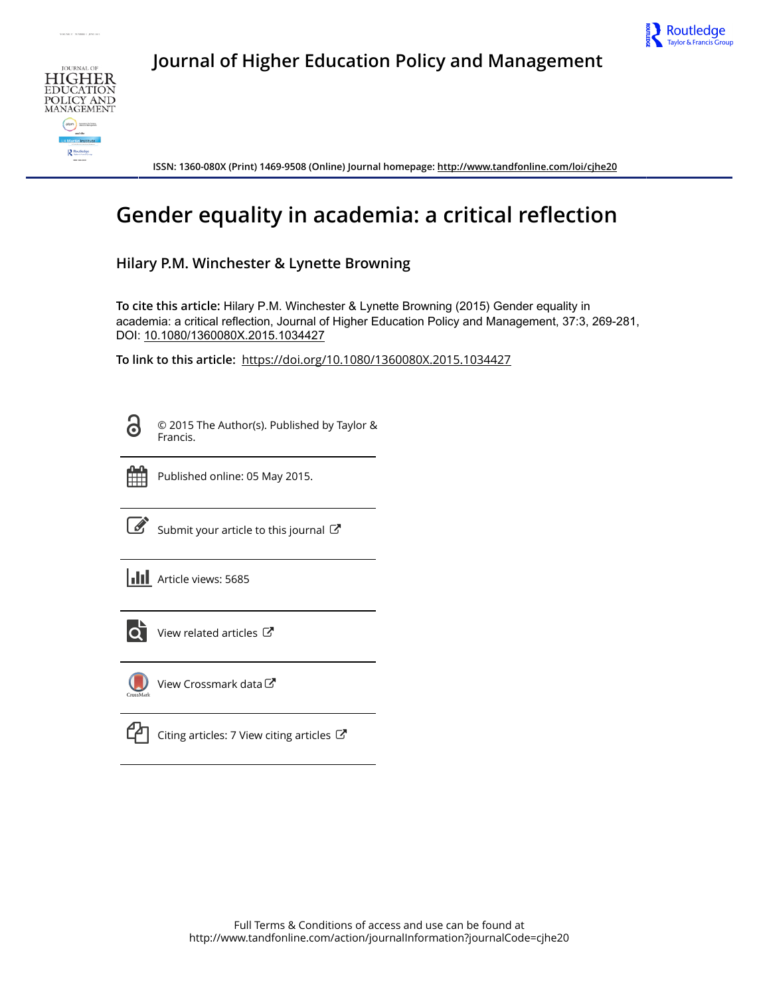



**Journal of Higher Education Policy and Management**



**ISSN: 1360-080X (Print) 1469-9508 (Online) Journal homepage: <http://www.tandfonline.com/loi/cjhe20>**

# **Gender equality in academia: a critical reflection**

# **Hilary P.M. Winchester & Lynette Browning**

**To cite this article:** Hilary P.M. Winchester & Lynette Browning (2015) Gender equality in academia: a critical reflection, Journal of Higher Education Policy and Management, 37:3, 269-281, DOI: [10.1080/1360080X.2015.1034427](http://www.tandfonline.com/action/showCitFormats?doi=10.1080/1360080X.2015.1034427)

**To link to this article:** <https://doi.org/10.1080/1360080X.2015.1034427>

6

© 2015 The Author(s). Published by Taylor & Francis.



Published online: 05 May 2015.



 $\overrightarrow{S}$  [Submit your article to this journal](http://www.tandfonline.com/action/authorSubmission?journalCode=cjhe20&show=instructions)  $\overrightarrow{S}$ 





 $\overrightarrow{Q}$  [View related articles](http://www.tandfonline.com/doi/mlt/10.1080/1360080X.2015.1034427)  $\overrightarrow{C}$ 



[View Crossmark data](http://crossmark.crossref.org/dialog/?doi=10.1080/1360080X.2015.1034427&domain=pdf&date_stamp=2015-05-05)

 $\Box$  [Citing articles: 7 View citing articles](http://www.tandfonline.com/doi/citedby/10.1080/1360080X.2015.1034427#tabModule)  $\Box$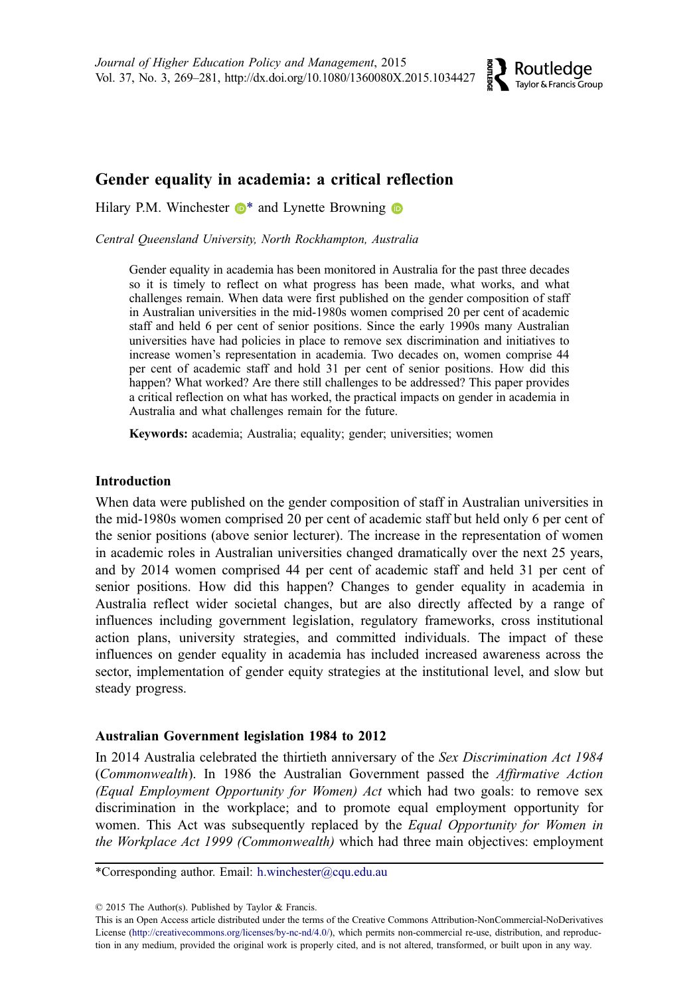

# Gender equality in academia: a critical reflection

Hilary P.M. Winchester  $\mathbb{D}^*$  $\mathbb{D}^*$  and Lynette Browning  $\mathbb{D}$ 

Central Queensland University, North Rockhampton, Australia

Gender equality in academia has been monitored in Australia for the past three decades so it is timely to reflect on what progress has been made, what works, and what challenges remain. When data were first published on the gender composition of staff in Australian universities in the mid-1980s women comprised 20 per cent of academic staff and held 6 per cent of senior positions. Since the early 1990s many Australian universities have had policies in place to remove sex discrimination and initiatives to increase women's representation in academia. Two decades on, women comprise 44 per cent of academic staff and hold 31 per cent of senior positions. How did this happen? What worked? Are there still challenges to be addressed? This paper provides a critical reflection on what has worked, the practical impacts on gender in academia in Australia and what challenges remain for the future.

Keywords: academia; Australia; equality; gender; universities; women

# Introduction

When data were published on the gender composition of staff in Australian universities in the mid-1980s women comprised 20 per cent of academic staff but held only 6 per cent of the senior positions (above senior lecturer). The increase in the representation of women in academic roles in Australian universities changed dramatically over the next 25 years, and by 2014 women comprised 44 per cent of academic staff and held 31 per cent of senior positions. How did this happen? Changes to gender equality in academia in Australia reflect wider societal changes, but are also directly affected by a range of influences including government legislation, regulatory frameworks, cross institutional action plans, university strategies, and committed individuals. The impact of these influences on gender equality in academia has included increased awareness across the sector, implementation of gender equity strategies at the institutional level, and slow but steady progress.

# Australian Government legislation 1984 to 2012

In 2014 Australia celebrated the thirtieth anniversary of the Sex Discrimination Act 1984 (Commonwealth). In 1986 the Australian Government passed the Affirmative Action (Equal Employment Opportunity for Women) Act which had two goals: to remove sex discrimination in the workplace; and to promote equal employment opportunity for women. This Act was subsequently replaced by the Equal Opportunity for Women in the Workplace Act 1999 (Commonwealth) which had three main objectives: employment

\*Corresponding author. Email: h.winchester@cqu.edu.au

<sup>© 2015</sup> The Author(s). Published by Taylor & Francis.

This is an Open Access article distributed under the terms of the Creative Commons Attribution-NonCommercial-NoDerivatives License (http://creativecommons.org/licenses/by-nc-nd/4.0/), which permits non-commercial re-use, distribution, and reproduction in any medium, provided the original work is properly cited, and is not altered, transformed, or built upon in any way.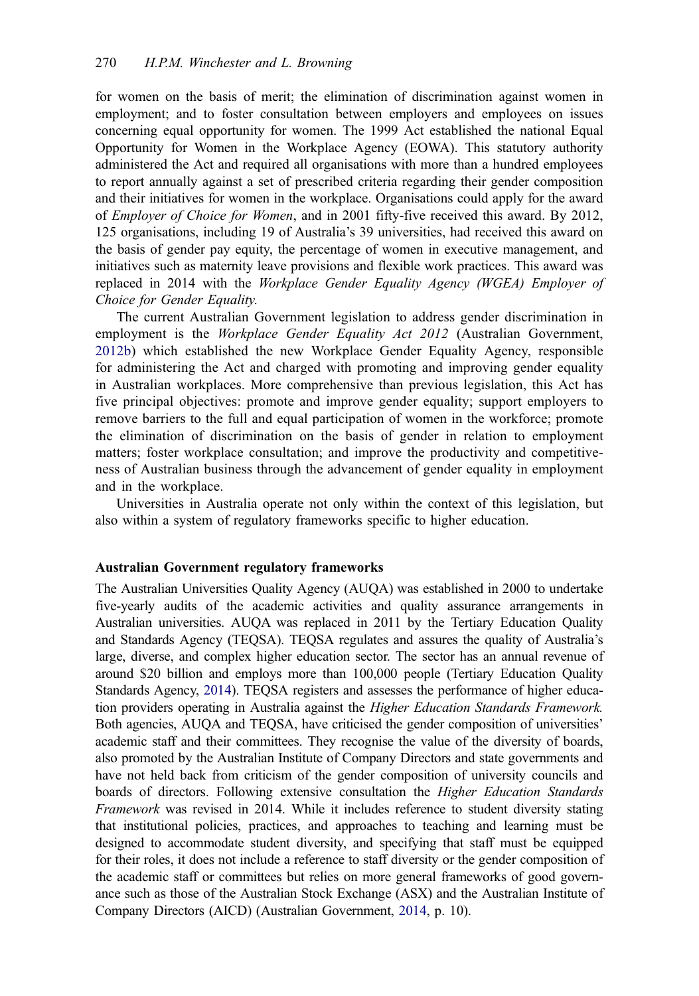for women on the basis of merit; the elimination of discrimination against women in employment; and to foster consultation between employers and employees on issues concerning equal opportunity for women. The 1999 Act established the national Equal Opportunity for Women in the Workplace Agency (EOWA). This statutory authority administered the Act and required all organisations with more than a hundred employees to report annually against a set of prescribed criteria regarding their gender composition and their initiatives for women in the workplace. Organisations could apply for the award of *Employer of Choice for Women*, and in 2001 fifty-five received this award. By 2012, 125 organisations, including 19 of Australia's 39 universities, had received this award on the basis of gender pay equity, the percentage of women in executive management, and initiatives such as maternity leave provisions and flexible work practices. This award was replaced in 2014 with the Workplace Gender Equality Agency (WGEA) Employer of Choice for Gender Equality.

The current Australian Government legislation to address gender discrimination in employment is the Workplace Gender Equality Act 2012 (Australian Government, [2012b\)](#page-12-0) which established the new Workplace Gender Equality Agency, responsible for administering the Act and charged with promoting and improving gender equality in Australian workplaces. More comprehensive than previous legislation, this Act has five principal objectives: promote and improve gender equality; support employers to remove barriers to the full and equal participation of women in the workforce; promote the elimination of discrimination on the basis of gender in relation to employment matters; foster workplace consultation; and improve the productivity and competitiveness of Australian business through the advancement of gender equality in employment and in the workplace.

Universities in Australia operate not only within the context of this legislation, but also within a system of regulatory frameworks specific to higher education.

## Australian Government regulatory frameworks

The Australian Universities Quality Agency (AUQA) was established in 2000 to undertake five-yearly audits of the academic activities and quality assurance arrangements in Australian universities. AUQA was replaced in 2011 by the Tertiary Education Quality and Standards Agency (TEQSA). TEQSA regulates and assures the quality of Australia's large, diverse, and complex higher education sector. The sector has an annual revenue of around \$20 billion and employs more than 100,000 people (Tertiary Education Quality Standards Agency, [2014](#page-13-0)). TEQSA registers and assesses the performance of higher education providers operating in Australia against the Higher Education Standards Framework. Both agencies, AUQA and TEQSA, have criticised the gender composition of universities' academic staff and their committees. They recognise the value of the diversity of boards, also promoted by the Australian Institute of Company Directors and state governments and have not held back from criticism of the gender composition of university councils and boards of directors. Following extensive consultation the *Higher Education Standards* Framework was revised in 2014. While it includes reference to student diversity stating that institutional policies, practices, and approaches to teaching and learning must be designed to accommodate student diversity, and specifying that staff must be equipped for their roles, it does not include a reference to staff diversity or the gender composition of the academic staff or committees but relies on more general frameworks of good governance such as those of the Australian Stock Exchange (ASX) and the Australian Institute of Company Directors (AICD) (Australian Government, [2014](#page-12-0), p. 10).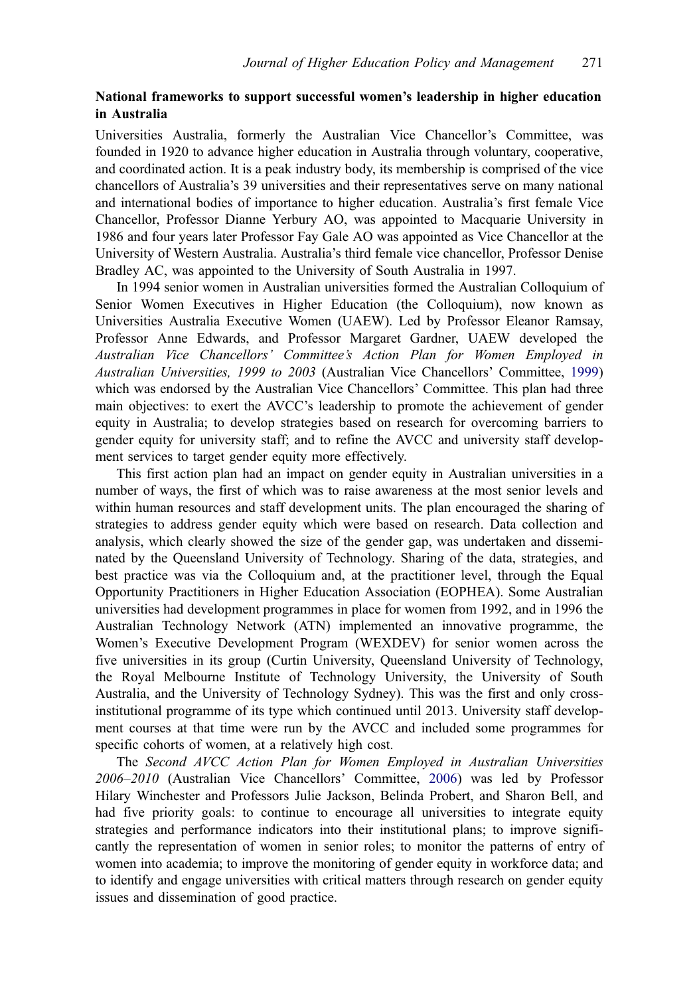# National frameworks to support successful women's leadership in higher education in Australia

Universities Australia, formerly the Australian Vice Chancellor's Committee, was founded in 1920 to advance higher education in Australia through voluntary, cooperative, and coordinated action. It is a peak industry body, its membership is comprised of the vice chancellors of Australia's 39 universities and their representatives serve on many national and international bodies of importance to higher education. Australia's first female Vice Chancellor, Professor Dianne Yerbury AO, was appointed to Macquarie University in 1986 and four years later Professor Fay Gale AO was appointed as Vice Chancellor at the University of Western Australia. Australia's third female vice chancellor, Professor Denise Bradley AC, was appointed to the University of South Australia in 1997.

In 1994 senior women in Australian universities formed the Australian Colloquium of Senior Women Executives in Higher Education (the Colloquium), now known as Universities Australia Executive Women (UAEW). Led by Professor Eleanor Ramsay, Professor Anne Edwards, and Professor Margaret Gardner, UAEW developed the Australian Vice Chancellors' Committee's Action Plan for Women Employed in Australian Universities, 1999 to 2003 (Australian Vice Chancellors' Committee, [1999\)](#page-12-0) which was endorsed by the Australian Vice Chancellors' Committee. This plan had three main objectives: to exert the AVCC's leadership to promote the achievement of gender equity in Australia; to develop strategies based on research for overcoming barriers to gender equity for university staff; and to refine the AVCC and university staff development services to target gender equity more effectively.

This first action plan had an impact on gender equity in Australian universities in a number of ways, the first of which was to raise awareness at the most senior levels and within human resources and staff development units. The plan encouraged the sharing of strategies to address gender equity which were based on research. Data collection and analysis, which clearly showed the size of the gender gap, was undertaken and disseminated by the Queensland University of Technology. Sharing of the data, strategies, and best practice was via the Colloquium and, at the practitioner level, through the Equal Opportunity Practitioners in Higher Education Association (EOPHEA). Some Australian universities had development programmes in place for women from 1992, and in 1996 the Australian Technology Network (ATN) implemented an innovative programme, the Women's Executive Development Program (WEXDEV) for senior women across the five universities in its group (Curtin University, Queensland University of Technology, the Royal Melbourne Institute of Technology University, the University of South Australia, and the University of Technology Sydney). This was the first and only crossinstitutional programme of its type which continued until 2013. University staff development courses at that time were run by the AVCC and included some programmes for specific cohorts of women, at a relatively high cost.

The Second AVCC Action Plan for Women Employed in Australian Universities 2006–2010 (Australian Vice Chancellors' Committee, [2006\)](#page-12-0) was led by Professor Hilary Winchester and Professors Julie Jackson, Belinda Probert, and Sharon Bell, and had five priority goals: to continue to encourage all universities to integrate equity strategies and performance indicators into their institutional plans; to improve significantly the representation of women in senior roles; to monitor the patterns of entry of women into academia; to improve the monitoring of gender equity in workforce data; and to identify and engage universities with critical matters through research on gender equity issues and dissemination of good practice.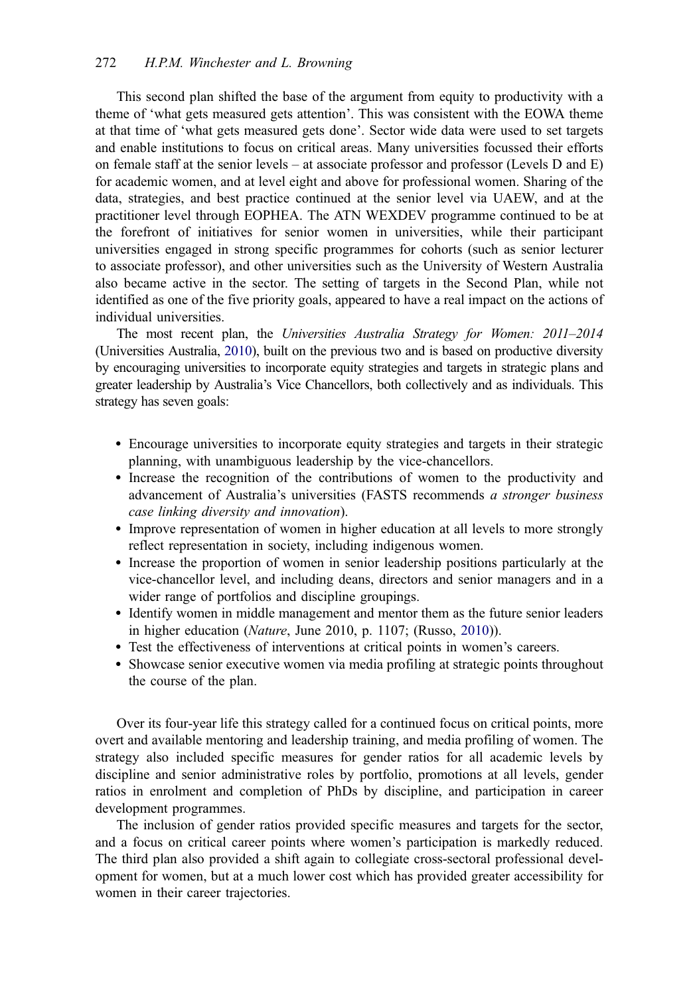This second plan shifted the base of the argument from equity to productivity with a theme of 'what gets measured gets attention'. This was consistent with the EOWA theme at that time of 'what gets measured gets done'. Sector wide data were used to set targets and enable institutions to focus on critical areas. Many universities focussed their efforts on female staff at the senior levels – at associate professor and professor (Levels D and E) for academic women, and at level eight and above for professional women. Sharing of the data, strategies, and best practice continued at the senior level via UAEW, and at the practitioner level through EOPHEA. The ATN WEXDEV programme continued to be at the forefront of initiatives for senior women in universities, while their participant universities engaged in strong specific programmes for cohorts (such as senior lecturer to associate professor), and other universities such as the University of Western Australia also became active in the sector. The setting of targets in the Second Plan, while not identified as one of the five priority goals, appeared to have a real impact on the actions of individual universities.

The most recent plan, the Universities Australia Strategy for Women: 2011–2014 (Universities Australia, [2010\)](#page-13-0), built on the previous two and is based on productive diversity by encouraging universities to incorporate equity strategies and targets in strategic plans and greater leadership by Australia's Vice Chancellors, both collectively and as individuals. This strategy has seven goals:

- Encourage universities to incorporate equity strategies and targets in their strategic planning, with unambiguous leadership by the vice-chancellors.
- Increase the recognition of the contributions of women to the productivity and advancement of Australia's universities (FASTS recommends a stronger business case linking diversity and innovation).
- Improve representation of women in higher education at all levels to more strongly reflect representation in society, including indigenous women.
- Increase the proportion of women in senior leadership positions particularly at the vice-chancellor level, and including deans, directors and senior managers and in a wider range of portfolios and discipline groupings.
- Identify women in middle management and mentor them as the future senior leaders in higher education (Nature, June 2010, p. 1107; (Russo, [2010](#page-13-0))).
- Test the effectiveness of interventions at critical points in women's careers.
- Showcase senior executive women via media profiling at strategic points throughout the course of the plan.

Over its four-year life this strategy called for a continued focus on critical points, more overt and available mentoring and leadership training, and media profiling of women. The strategy also included specific measures for gender ratios for all academic levels by discipline and senior administrative roles by portfolio, promotions at all levels, gender ratios in enrolment and completion of PhDs by discipline, and participation in career development programmes.

The inclusion of gender ratios provided specific measures and targets for the sector, and a focus on critical career points where women's participation is markedly reduced. The third plan also provided a shift again to collegiate cross-sectoral professional development for women, but at a much lower cost which has provided greater accessibility for women in their career trajectories.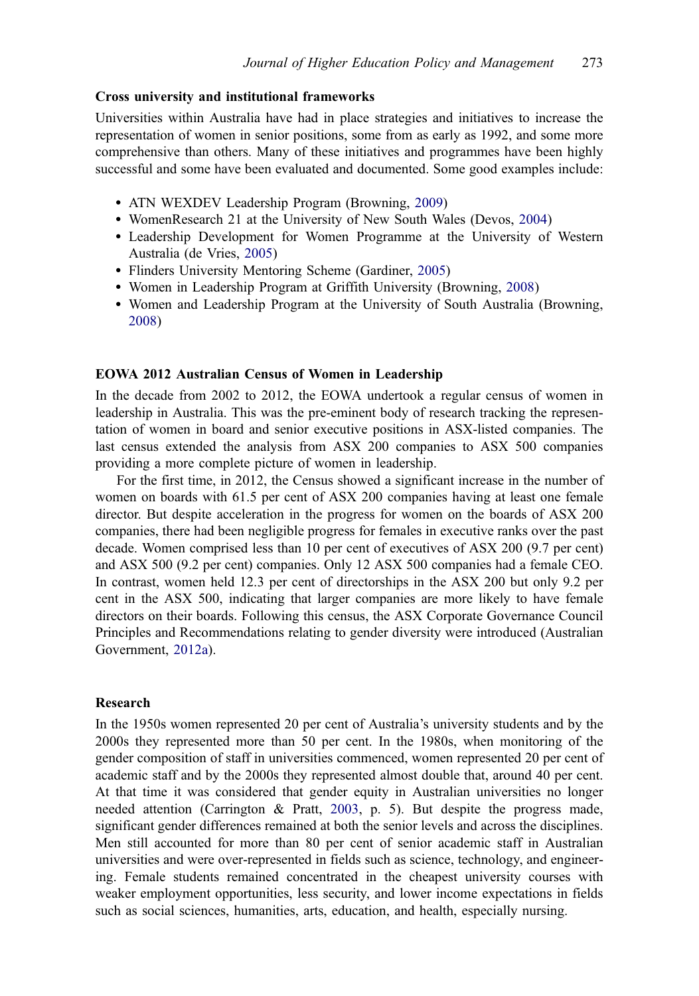# Cross university and institutional frameworks

Universities within Australia have had in place strategies and initiatives to increase the representation of women in senior positions, some from as early as 1992, and some more comprehensive than others. Many of these initiatives and programmes have been highly successful and some have been evaluated and documented. Some good examples include:

- ATN WEXDEV Leadership Program (Browning, [2009\)](#page-13-0)
- WomenResearch 21 at the University of New South Wales (Devos, [2004](#page-13-0))
- Leadership Development for Women Programme at the University of Western Australia (de Vries, [2005\)](#page-13-0)
- Flinders University Mentoring Scheme (Gardiner, [2005\)](#page-13-0)
- Women in Leadership Program at Griffith University (Browning, [2008](#page-13-0))
- Women and Leadership Program at the University of South Australia (Browning, [2008\)](#page-13-0)

# EOWA 2012 Australian Census of Women in Leadership

In the decade from 2002 to 2012, the EOWA undertook a regular census of women in leadership in Australia. This was the pre-eminent body of research tracking the representation of women in board and senior executive positions in ASX-listed companies. The last census extended the analysis from ASX 200 companies to ASX 500 companies providing a more complete picture of women in leadership.

For the first time, in 2012, the Census showed a significant increase in the number of women on boards with 61.5 per cent of ASX 200 companies having at least one female director. But despite acceleration in the progress for women on the boards of ASX 200 companies, there had been negligible progress for females in executive ranks over the past decade. Women comprised less than 10 per cent of executives of ASX 200 (9.7 per cent) and ASX 500 (9.2 per cent) companies. Only 12 ASX 500 companies had a female CEO. In contrast, women held 12.3 per cent of directorships in the ASX 200 but only 9.2 per cent in the ASX 500, indicating that larger companies are more likely to have female directors on their boards. Following this census, the ASX Corporate Governance Council Principles and Recommendations relating to gender diversity were introduced (Australian Government, [2012a\)](#page-12-0).

# Research

In the 1950s women represented 20 per cent of Australia's university students and by the 2000s they represented more than 50 per cent. In the 1980s, when monitoring of the gender composition of staff in universities commenced, women represented 20 per cent of academic staff and by the 2000s they represented almost double that, around 40 per cent. At that time it was considered that gender equity in Australian universities no longer needed attention (Carrington & Pratt, [2003](#page-13-0), p. 5). But despite the progress made, significant gender differences remained at both the senior levels and across the disciplines. Men still accounted for more than 80 per cent of senior academic staff in Australian universities and were over-represented in fields such as science, technology, and engineering. Female students remained concentrated in the cheapest university courses with weaker employment opportunities, less security, and lower income expectations in fields such as social sciences, humanities, arts, education, and health, especially nursing.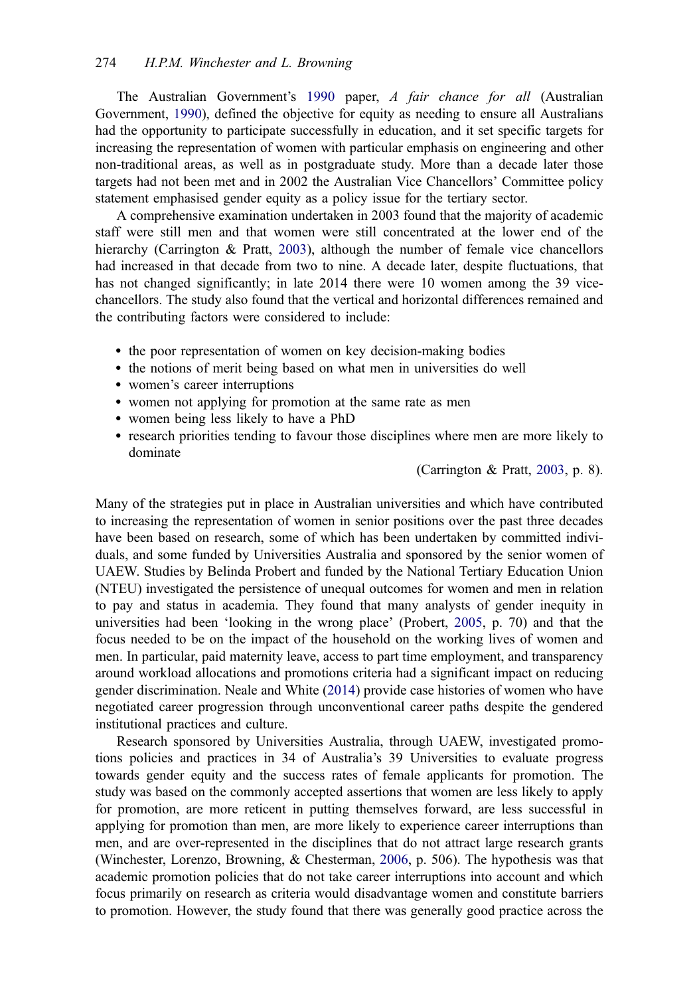The Australian Government's [1990](#page-12-0) paper, A fair chance for all (Australian Government, [1990](#page-12-0)), defined the objective for equity as needing to ensure all Australians had the opportunity to participate successfully in education, and it set specific targets for increasing the representation of women with particular emphasis on engineering and other non-traditional areas, as well as in postgraduate study. More than a decade later those targets had not been met and in 2002 the Australian Vice Chancellors' Committee policy statement emphasised gender equity as a policy issue for the tertiary sector.

A comprehensive examination undertaken in 2003 found that the majority of academic staff were still men and that women were still concentrated at the lower end of the hierarchy (Carrington & Pratt, [2003\)](#page-13-0), although the number of female vice chancellors had increased in that decade from two to nine. A decade later, despite fluctuations, that has not changed significantly; in late 2014 there were 10 women among the 39 vicechancellors. The study also found that the vertical and horizontal differences remained and the contributing factors were considered to include:

- the poor representation of women on key decision-making bodies
- the notions of merit being based on what men in universities do well
- women's career interruptions
- women not applying for promotion at the same rate as men
- women being less likely to have a PhD
- research priorities tending to favour those disciplines where men are more likely to dominate

(Carrington & Pratt, [2003,](#page-13-0) p. 8).

Many of the strategies put in place in Australian universities and which have contributed to increasing the representation of women in senior positions over the past three decades have been based on research, some of which has been undertaken by committed individuals, and some funded by Universities Australia and sponsored by the senior women of UAEW. Studies by Belinda Probert and funded by the National Tertiary Education Union (NTEU) investigated the persistence of unequal outcomes for women and men in relation to pay and status in academia. They found that many analysts of gender inequity in universities had been 'looking in the wrong place' (Probert, [2005,](#page-13-0) p. 70) and that the focus needed to be on the impact of the household on the working lives of women and men. In particular, paid maternity leave, access to part time employment, and transparency around workload allocations and promotions criteria had a significant impact on reducing gender discrimination. Neale and White [\(2014](#page-13-0)) provide case histories of women who have negotiated career progression through unconventional career paths despite the gendered institutional practices and culture.

Research sponsored by Universities Australia, through UAEW, investigated promotions policies and practices in 34 of Australia's 39 Universities to evaluate progress towards gender equity and the success rates of female applicants for promotion. The study was based on the commonly accepted assertions that women are less likely to apply for promotion, are more reticent in putting themselves forward, are less successful in applying for promotion than men, are more likely to experience career interruptions than men, and are over-represented in the disciplines that do not attract large research grants (Winchester, Lorenzo, Browning, & Chesterman, [2006](#page-13-0), p. 506). The hypothesis was that academic promotion policies that do not take career interruptions into account and which focus primarily on research as criteria would disadvantage women and constitute barriers to promotion. However, the study found that there was generally good practice across the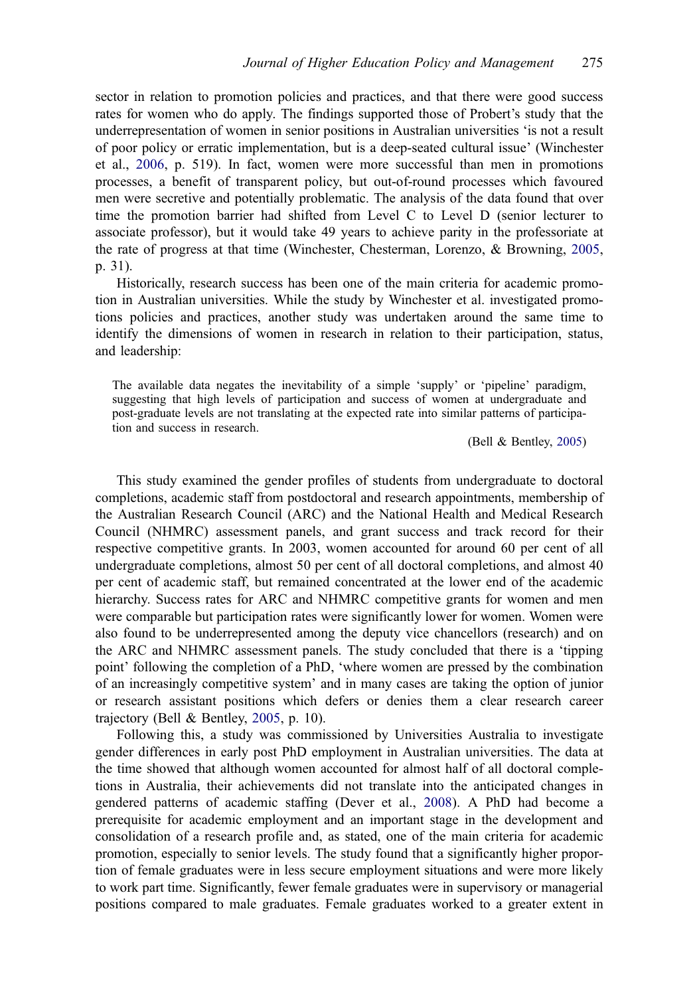sector in relation to promotion policies and practices, and that there were good success rates for women who do apply. The findings supported those of Probert's study that the underrepresentation of women in senior positions in Australian universities 'is not a result of poor policy or erratic implementation, but is a deep-seated cultural issue' (Winchester et al., [2006](#page-13-0), p. 519). In fact, women were more successful than men in promotions processes, a benefit of transparent policy, but out-of-round processes which favoured men were secretive and potentially problematic. The analysis of the data found that over time the promotion barrier had shifted from Level C to Level D (senior lecturer to associate professor), but it would take 49 years to achieve parity in the professoriate at the rate of progress at that time (Winchester, Chesterman, Lorenzo, & Browning, [2005](#page-13-0), p. 31).

Historically, research success has been one of the main criteria for academic promotion in Australian universities. While the study by Winchester et al. investigated promotions policies and practices, another study was undertaken around the same time to identify the dimensions of women in research in relation to their participation, status, and leadership:

The available data negates the inevitability of a simple 'supply' or 'pipeline' paradigm, suggesting that high levels of participation and success of women at undergraduate and post-graduate levels are not translating at the expected rate into similar patterns of participation and success in research.

(Bell & Bentley, [2005](#page-12-0))

This study examined the gender profiles of students from undergraduate to doctoral completions, academic staff from postdoctoral and research appointments, membership of the Australian Research Council (ARC) and the National Health and Medical Research Council (NHMRC) assessment panels, and grant success and track record for their respective competitive grants. In 2003, women accounted for around 60 per cent of all undergraduate completions, almost 50 per cent of all doctoral completions, and almost 40 per cent of academic staff, but remained concentrated at the lower end of the academic hierarchy. Success rates for ARC and NHMRC competitive grants for women and men were comparable but participation rates were significantly lower for women. Women were also found to be underrepresented among the deputy vice chancellors (research) and on the ARC and NHMRC assessment panels. The study concluded that there is a 'tipping point' following the completion of a PhD, 'where women are pressed by the combination of an increasingly competitive system' and in many cases are taking the option of junior or research assistant positions which defers or denies them a clear research career trajectory (Bell & Bentley, [2005](#page-12-0), p. 10).

Following this, a study was commissioned by Universities Australia to investigate gender differences in early post PhD employment in Australian universities. The data at the time showed that although women accounted for almost half of all doctoral completions in Australia, their achievements did not translate into the anticipated changes in gendered patterns of academic staffing (Dever et al., [2008](#page-13-0)). A PhD had become a prerequisite for academic employment and an important stage in the development and consolidation of a research profile and, as stated, one of the main criteria for academic promotion, especially to senior levels. The study found that a significantly higher proportion of female graduates were in less secure employment situations and were more likely to work part time. Significantly, fewer female graduates were in supervisory or managerial positions compared to male graduates. Female graduates worked to a greater extent in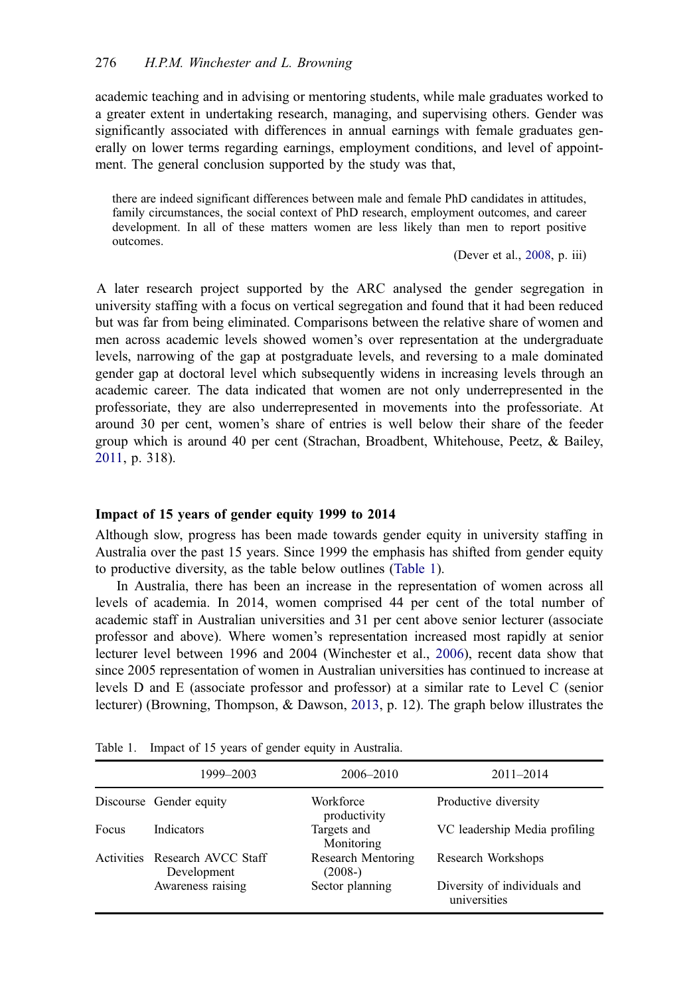academic teaching and in advising or mentoring students, while male graduates worked to a greater extent in undertaking research, managing, and supervising others. Gender was significantly associated with differences in annual earnings with female graduates generally on lower terms regarding earnings, employment conditions, and level of appointment. The general conclusion supported by the study was that,

there are indeed significant differences between male and female PhD candidates in attitudes, family circumstances, the social context of PhD research, employment outcomes, and career development. In all of these matters women are less likely than men to report positive outcomes.

(Dever et al., [2008,](#page-13-0) p. iii)

A later research project supported by the ARC analysed the gender segregation in university staffing with a focus on vertical segregation and found that it had been reduced but was far from being eliminated. Comparisons between the relative share of women and men across academic levels showed women's over representation at the undergraduate levels, narrowing of the gap at postgraduate levels, and reversing to a male dominated gender gap at doctoral level which subsequently widens in increasing levels through an academic career. The data indicated that women are not only underrepresented in the professoriate, they are also underrepresented in movements into the professoriate. At around 30 per cent, women's share of entries is well below their share of the feeder group which is around 40 per cent (Strachan, Broadbent, Whitehouse, Peetz, & Bailey, [2011,](#page-13-0) p. 318).

## Impact of 15 years of gender equity 1999 to 2014

Although slow, progress has been made towards gender equity in university staffing in Australia over the past 15 years. Since 1999 the emphasis has shifted from gender equity to productive diversity, as the table below outlines (Table 1).

In Australia, there has been an increase in the representation of women across all levels of academia. In 2014, women comprised 44 per cent of the total number of academic staff in Australian universities and 31 per cent above senior lecturer (associate professor and above). Where women's representation increased most rapidly at senior lecturer level between 1996 and 2004 (Winchester et al., [2006\)](#page-13-0), recent data show that since 2005 representation of women in Australian universities has continued to increase at levels D and E (associate professor and professor) at a similar rate to Level C (senior lecturer) (Browning, Thompson, & Dawson, [2013,](#page-13-0) p. 12). The graph below illustrates the

|       | 1999–2003                                     | 2006–2010                       | $2011 - 2014$                                |
|-------|-----------------------------------------------|---------------------------------|----------------------------------------------|
|       | Discourse Gender equity                       | Workforce<br>productivity       | Productive diversity                         |
| Focus | Indicators                                    | Targets and<br>Monitoring       | VC leadership Media profiling                |
|       | Activities Research AVCC Staff<br>Development | Research Mentoring<br>$(2008-)$ | Research Workshops                           |
|       | Awareness raising                             | Sector planning                 | Diversity of individuals and<br>universities |

Table 1. Impact of 15 years of gender equity in Australia.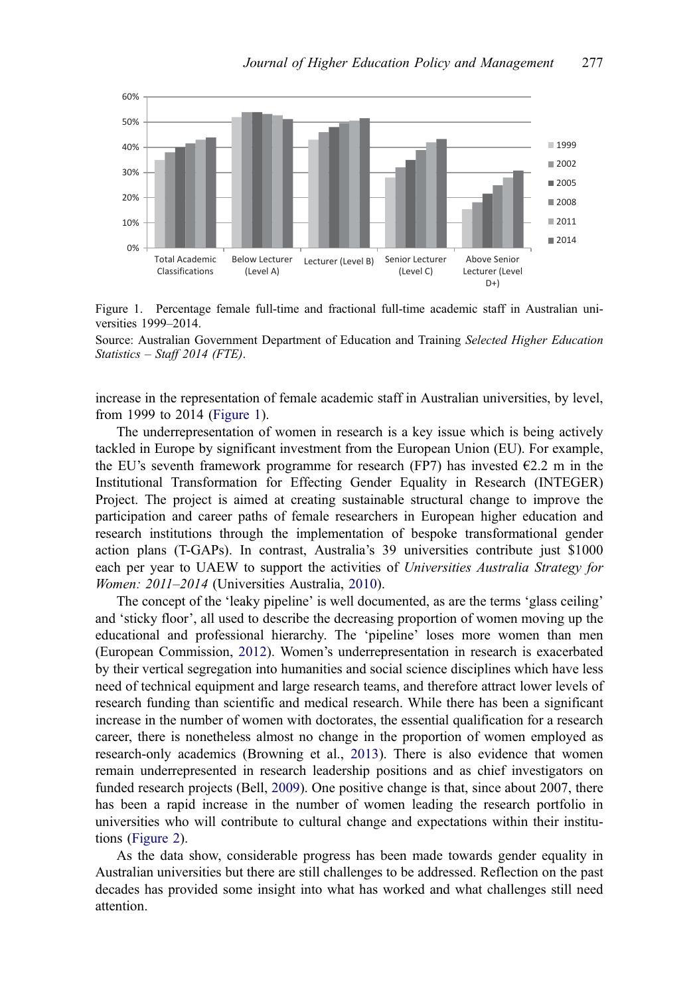

Figure 1. Percentage female full-time and fractional full-time academic staff in Australian universities 1999–2014.

Source: Australian Government Department of Education and Training Selected Higher Education Statistics – Staff 2014 (FTE).

increase in the representation of female academic staff in Australian universities, by level, from 1999 to 2014 (Figure 1).

The underrepresentation of women in research is a key issue which is being actively tackled in Europe by significant investment from the European Union (EU). For example, the EU's seventh framework programme for research (FP7) has invested  $E$ 2.2 m in the Institutional Transformation for Effecting Gender Equality in Research (INTEGER) Project. The project is aimed at creating sustainable structural change to improve the participation and career paths of female researchers in European higher education and research institutions through the implementation of bespoke transformational gender action plans (T-GAPs). In contrast, Australia's 39 universities contribute just \$1000 each per year to UAEW to support the activities of Universities Australia Strategy for Women: 2011–2014 (Universities Australia, [2010](#page-13-0)).

The concept of the 'leaky pipeline' is well documented, as are the terms 'glass ceiling' and 'sticky floor', all used to describe the decreasing proportion of women moving up the educational and professional hierarchy. The 'pipeline' loses more women than men (European Commission, [2012](#page-13-0)). Women's underrepresentation in research is exacerbated by their vertical segregation into humanities and social science disciplines which have less need of technical equipment and large research teams, and therefore attract lower levels of research funding than scientific and medical research. While there has been a significant increase in the number of women with doctorates, the essential qualification for a research career, there is nonetheless almost no change in the proportion of women employed as research-only academics (Browning et al., [2013\)](#page-13-0). There is also evidence that women remain underrepresented in research leadership positions and as chief investigators on funded research projects (Bell, [2009\)](#page-12-0). One positive change is that, since about 2007, there has been a rapid increase in the number of women leading the research portfolio in universities who will contribute to cultural change and expectations within their institutions [\(Figure 2](#page-10-0)).

As the data show, considerable progress has been made towards gender equality in Australian universities but there are still challenges to be addressed. Reflection on the past decades has provided some insight into what has worked and what challenges still need attention.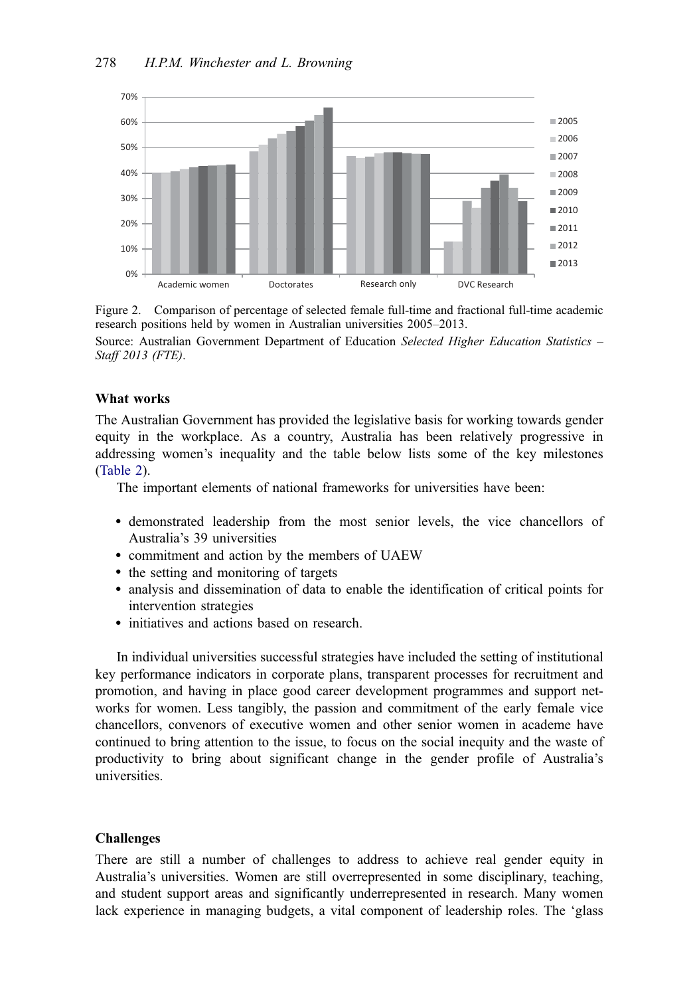<span id="page-10-0"></span>

Figure 2. Comparison of percentage of selected female full-time and fractional full-time academic research positions held by women in Australian universities 2005–2013.

Source: Australian Government Department of Education Selected Higher Education Statistics -Staff 2013 (FTE).

# What works

The Australian Government has provided the legislative basis for working towards gender equity in the workplace. As a country, Australia has been relatively progressive in addressing women's inequality and the table below lists some of the key milestones ([Table 2\)](#page-11-0).

The important elements of national frameworks for universities have been:

- demonstrated leadership from the most senior levels, the vice chancellors of Australia's 39 universities
- commitment and action by the members of UAEW
- the setting and monitoring of targets
- analysis and dissemination of data to enable the identification of critical points for intervention strategies
- initiatives and actions based on research.

In individual universities successful strategies have included the setting of institutional key performance indicators in corporate plans, transparent processes for recruitment and promotion, and having in place good career development programmes and support networks for women. Less tangibly, the passion and commitment of the early female vice chancellors, convenors of executive women and other senior women in academe have continued to bring attention to the issue, to focus on the social inequity and the waste of productivity to bring about significant change in the gender profile of Australia's universities.

#### Challenges

There are still a number of challenges to address to achieve real gender equity in Australia's universities. Women are still overrepresented in some disciplinary, teaching, and student support areas and significantly underrepresented in research. Many women lack experience in managing budgets, a vital component of leadership roles. The 'glass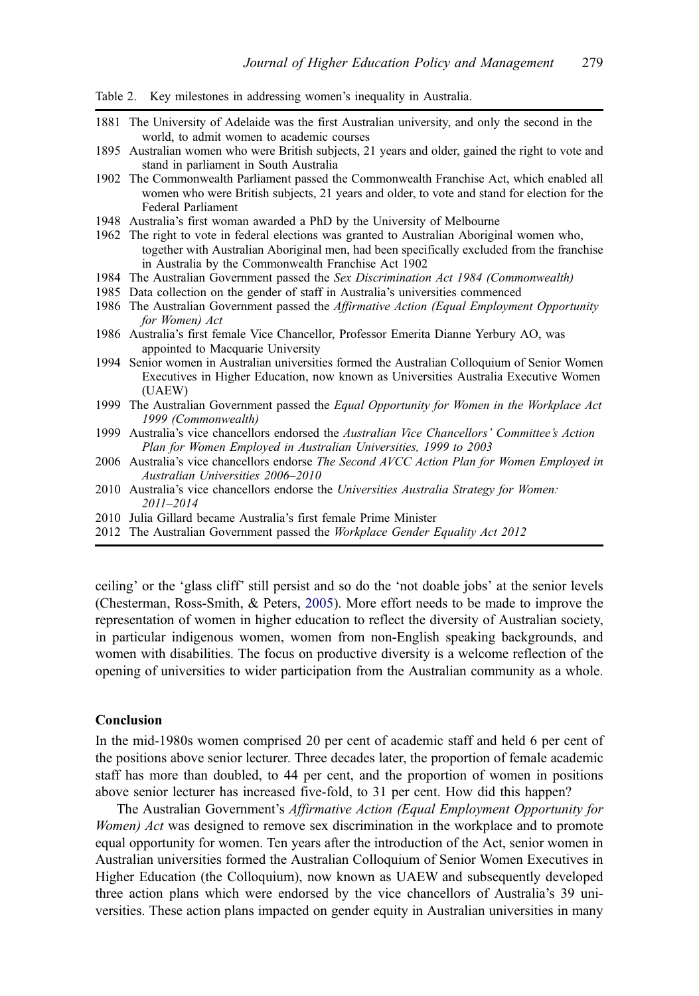<span id="page-11-0"></span>Table 2. Key milestones in addressing women's inequality in Australia.

- 1881 The University of Adelaide was the first Australian university, and only the second in the world, to admit women to academic courses
- 1895 Australian women who were British subjects, 21 years and older, gained the right to vote and stand in parliament in South Australia
- 1902 The Commonwealth Parliament passed the Commonwealth Franchise Act, which enabled all women who were British subjects, 21 years and older, to vote and stand for election for the Federal Parliament
- 1948 Australia's first woman awarded a PhD by the University of Melbourne
- 1962 The right to vote in federal elections was granted to Australian Aboriginal women who, together with Australian Aboriginal men, had been specifically excluded from the franchise in Australia by the Commonwealth Franchise Act 1902
- 1984 The Australian Government passed the Sex Discrimination Act 1984 (Commonwealth)
- 1985 Data collection on the gender of staff in Australia's universities commenced
- 1986 The Australian Government passed the Affirmative Action (Equal Employment Opportunity for Women) Act
- 1986 Australia's first female Vice Chancellor, Professor Emerita Dianne Yerbury AO, was appointed to Macquarie University
- 1994 Senior women in Australian universities formed the Australian Colloquium of Senior Women Executives in Higher Education, now known as Universities Australia Executive Women (UAEW)
- 1999 The Australian Government passed the *Equal Opportunity for Women in the Workplace Act* 1999 (Commonwealth)
- 1999 Australia's vice chancellors endorsed the Australian Vice Chancellors' Committee's Action Plan for Women Employed in Australian Universities, 1999 to 2003
- 2006 Australia's vice chancellors endorse The Second AVCC Action Plan for Women Employed in Australian Universities 2006–2010
- 2010 Australia's vice chancellors endorse the Universities Australia Strategy for Women: 2011–2014
- 2010 Julia Gillard became Australia's first female Prime Minister
- 2012 The Australian Government passed the Workplace Gender Equality Act 2012

ceiling' or the 'glass cliff' still persist and so do the 'not doable jobs' at the senior levels (Chesterman, Ross-Smith, & Peters, [2005\)](#page-13-0). More effort needs to be made to improve the representation of women in higher education to reflect the diversity of Australian society, in particular indigenous women, women from non-English speaking backgrounds, and women with disabilities. The focus on productive diversity is a welcome reflection of the opening of universities to wider participation from the Australian community as a whole.

# Conclusion

In the mid-1980s women comprised 20 per cent of academic staff and held 6 per cent of the positions above senior lecturer. Three decades later, the proportion of female academic staff has more than doubled, to 44 per cent, and the proportion of women in positions above senior lecturer has increased five-fold, to 31 per cent. How did this happen?

The Australian Government's Affirmative Action (Equal Employment Opportunity for Women) Act was designed to remove sex discrimination in the workplace and to promote equal opportunity for women. Ten years after the introduction of the Act, senior women in Australian universities formed the Australian Colloquium of Senior Women Executives in Higher Education (the Colloquium), now known as UAEW and subsequently developed three action plans which were endorsed by the vice chancellors of Australia's 39 universities. These action plans impacted on gender equity in Australian universities in many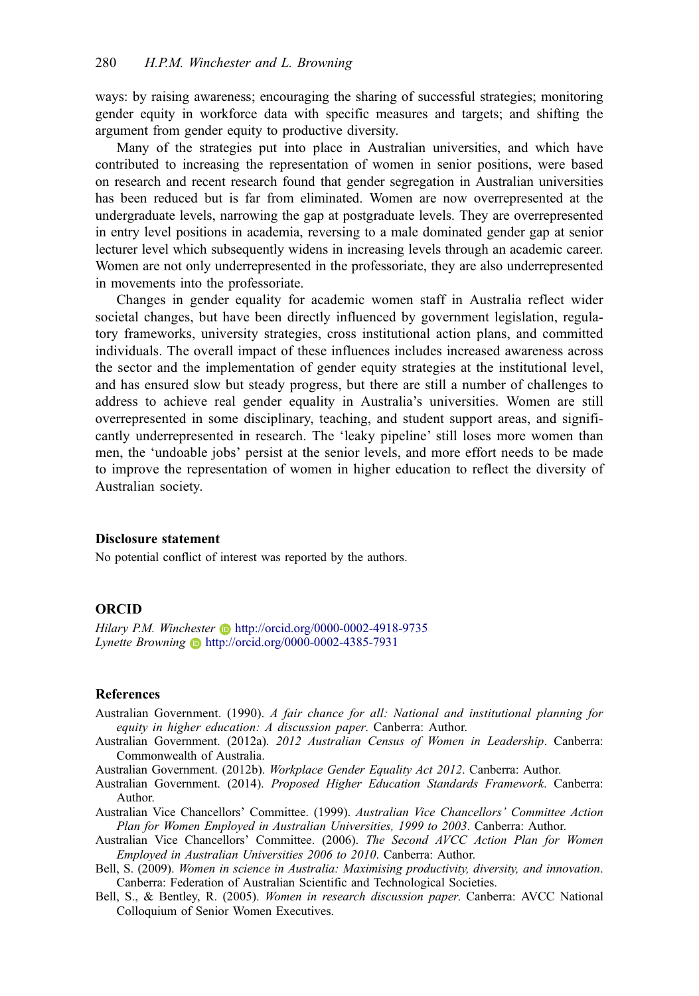<span id="page-12-0"></span>ways: by raising awareness; encouraging the sharing of successful strategies; monitoring gender equity in workforce data with specific measures and targets; and shifting the argument from gender equity to productive diversity.

Many of the strategies put into place in Australian universities, and which have contributed to increasing the representation of women in senior positions, were based on research and recent research found that gender segregation in Australian universities has been reduced but is far from eliminated. Women are now overrepresented at the undergraduate levels, narrowing the gap at postgraduate levels. They are overrepresented in entry level positions in academia, reversing to a male dominated gender gap at senior lecturer level which subsequently widens in increasing levels through an academic career. Women are not only underrepresented in the professoriate, they are also underrepresented in movements into the professoriate.

Changes in gender equality for academic women staff in Australia reflect wider societal changes, but have been directly influenced by government legislation, regulatory frameworks, university strategies, cross institutional action plans, and committed individuals. The overall impact of these influences includes increased awareness across the sector and the implementation of gender equity strategies at the institutional level, and has ensured slow but steady progress, but there are still a number of challenges to address to achieve real gender equality in Australia's universities. Women are still overrepresented in some disciplinary, teaching, and student support areas, and significantly underrepresented in research. The 'leaky pipeline' still loses more women than men, the 'undoable jobs' persist at the senior levels, and more effort needs to be made to improve the representation of women in higher education to reflect the diversity of Australian society.

## Disclosure statement

No potential conflict of interest was reported by the authors.

# **ORCID**

Hilary P.M. Winchester  $\blacksquare$  <http://orcid.org/0000-0002-4918-9735> Lynette Browning <http://orcid.org/0000-0002-4385-7931>

# **References**

- Australian Government. (1990). A fair chance for all: National and institutional planning for equity in higher education: A discussion paper. Canberra: Author.
- Australian Government. (2012a). 2012 Australian Census of Women in Leadership. Canberra: Commonwealth of Australia.
- Australian Government. (2012b). Workplace Gender Equality Act 2012. Canberra: Author.
- Australian Government. (2014). Proposed Higher Education Standards Framework. Canberra: Author.
- Australian Vice Chancellors' Committee. (1999). Australian Vice Chancellors' Committee Action Plan for Women Employed in Australian Universities, 1999 to 2003. Canberra: Author.
- Australian Vice Chancellors' Committee. (2006). The Second AVCC Action Plan for Women Employed in Australian Universities 2006 to 2010. Canberra: Author.
- Bell, S. (2009). Women in science in Australia: Maximising productivity, diversity, and innovation. Canberra: Federation of Australian Scientific and Technological Societies.
- Bell, S., & Bentley, R. (2005). Women in research discussion paper. Canberra: AVCC National Colloquium of Senior Women Executives.